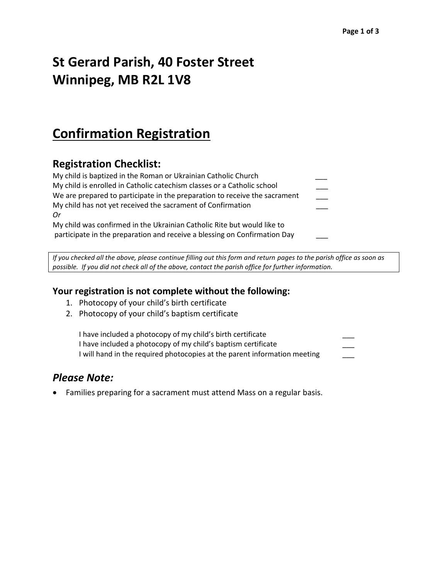# **St Gerard Parish, 40 Foster Street Winnipeg, MB R2L 1V8**

### **Confirmation Registration**

### **Registration Checklist:**

| My child is baptized in the Roman or Ukrainian Catholic Church             |  |
|----------------------------------------------------------------------------|--|
| My child is enrolled in Catholic catechism classes or a Catholic school    |  |
| We are prepared to participate in the preparation to receive the sacrament |  |
| My child has not yet received the sacrament of Confirmation                |  |
| 0r                                                                         |  |
| My child was confirmed in the Ukrainian Catholic Rite but would like to    |  |
| participate in the preparation and receive a blessing on Confirmation Day  |  |
|                                                                            |  |

*If you checked all the above, please continue filling out this form and return pages to the parish office as soon as possible. If you did not check all of the above, contact the parish office for further information.*

#### **Your registration is not complete without the following:**

- 1. Photocopy of your child's birth certificate
- 2. Photocopy of your child's baptism certificate

| I have included a photocopy of my child's birth certificate               |  |
|---------------------------------------------------------------------------|--|
| I have included a photocopy of my child's baptism certificate             |  |
| I will hand in the required photocopies at the parent information meeting |  |

#### *Please Note:*

Families preparing for a sacrament must attend Mass on a regular basis.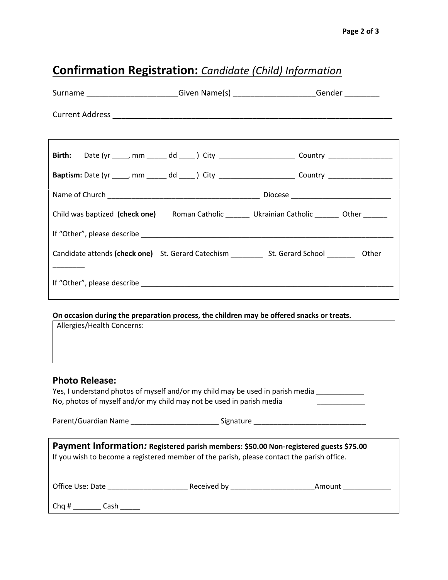## **Confirmation Registration:** *Candidate (Child) Information*

|                                                                                                                                                                                     |  | Surname ________________________Given Name(s) _______________________Gender __________               |  |  |  |
|-------------------------------------------------------------------------------------------------------------------------------------------------------------------------------------|--|------------------------------------------------------------------------------------------------------|--|--|--|
|                                                                                                                                                                                     |  |                                                                                                      |  |  |  |
|                                                                                                                                                                                     |  |                                                                                                      |  |  |  |
| Birth:                                                                                                                                                                              |  | Date (yr _____, mm ______ dd _____) City _________________________ Country ________________________  |  |  |  |
|                                                                                                                                                                                     |  | Baptism: Date (yr ____, mm _____ dd ____) City _______________________Country _____________________  |  |  |  |
|                                                                                                                                                                                     |  |                                                                                                      |  |  |  |
|                                                                                                                                                                                     |  | Child was baptized (check one) Roman Catholic _______ Ukrainian Catholic ______ Other ______         |  |  |  |
|                                                                                                                                                                                     |  |                                                                                                      |  |  |  |
|                                                                                                                                                                                     |  | Candidate attends (check one) St. Gerard Catechism ___________ St. Gerard School __________ Other    |  |  |  |
|                                                                                                                                                                                     |  |                                                                                                      |  |  |  |
| On occasion during the preparation process, the children may be offered snacks or treats.<br>Allergies/Health Concerns:                                                             |  |                                                                                                      |  |  |  |
| <b>Photo Release:</b><br>Yes, I understand photos of myself and/or my child may be used in parish media<br>No, photos of myself and/or my child may not be used in parish media     |  |                                                                                                      |  |  |  |
|                                                                                                                                                                                     |  | Parent/Guardian Name __________________________________Signature ___________________________________ |  |  |  |
| Payment Information: Registered parish members: \$50.00 Non-registered guests \$75.00<br>If you wish to become a registered member of the parish, please contact the parish office. |  |                                                                                                      |  |  |  |
|                                                                                                                                                                                     |  |                                                                                                      |  |  |  |
|                                                                                                                                                                                     |  |                                                                                                      |  |  |  |